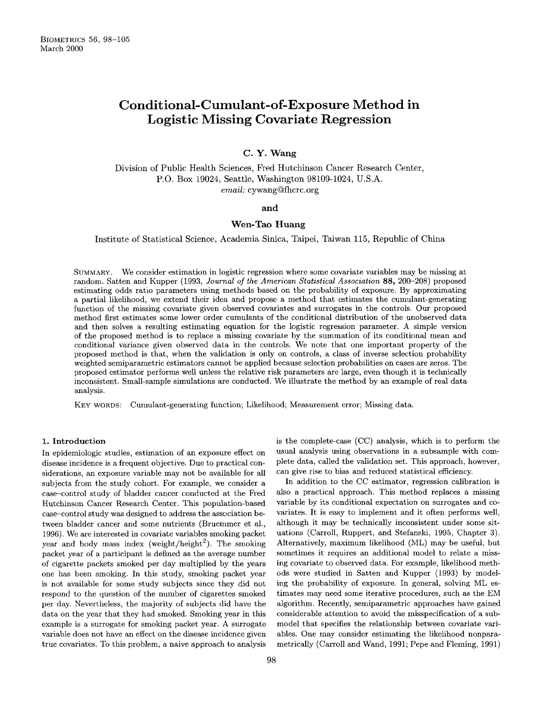# **Conditional-Cumulant-of-Exposure** Method in Logistic Missing Covariate Regression

## C. Y. Wang

Division of Public Health Sciences, Fred Hutchinson Cancer Research Center, P.O. Box 19024, Seattle, Washington 98109-1024, U.S.A. *email:* cywang@fhcrc.org

### and

## **Wen-Tao** Huang

Institute of Statistical Science, Academia Sinica, Taipei, Taiwan 115, Republic of China

SUMMARY. We consider estimation in logistic regression where some covariate variables may be missing at random. Satten and Kupper (1993, *Journal* of *the American Statistical Association* **88,** 200-208) proposed estimating odds ratio parameters using methods based on the probability of exposure. By approximating a partial likelihood, we extend their idea and propose a method that estimates the cumulant-generating function of the missing covariate given observed covariates and surrogates in the controls. Our proposed method first estimates some lower order cumulants of the conditional distribution of the unobserved data and then solves a resulting estimating equation for the logistic regression parameter. A simple version of the proposed method is to replace a missing covariate by the summation of its conditional mean and conditional variance given observed data in the controls. We note that one important property of the proposed method is that, when the validation is only on controls, a class of inverse selection probability weighted semiparametric estimators cannot be applied because selection probabilities on cases are zeros. The proposed estimator performs well unless the relative risk parameters are large, even though it is technically inconsistent. Small-sample simulations are conducted. We illustrate the method by an example of real data analysis.

KEY WORDS: Cumulant-generating function; Likelihood; Measurement error; Missing data.

### 1. **Introduction**

In epidemiologic studies, estimation of an exposure effect on disease incidence is a frequent objective. Due to practical considerations, an exposure variable may not be available for all subjects from the study cohort. For example, we consider a case-control study of bladder cancer conducted at the Fred Hutchinson Cancer Research Center. This population-based case-control study was designed to address the association between bladder cancer and some nutrients (Bruemmer et al., 1996). We are interested in covariate variables smoking packet year and body mass index (weight/height<sup>2</sup>). The smoking packet year of a participant is defined as the average number of cigarette packets smoked per day multiplied by the years one has been smoking. In this study, smoking packet year is not available for some study subjects since they did not respond to the question of the number of cigarettes smoked per day. Nevertheless, the majority of subjects did have the data on the year that they had smoked. Smoking year in this example is a surrogate for smoking packet year. A surrogate variable does not have an effect on the disease incidence given true covariates. To this problem, a naive approach to analysis is the complete-case (CC) analysis, which is to perform the usual analysis using observations in a subsample with complete data, called the validation set. This approach, however, can give rise to bias and reduced statistical efficiency.

In addition to the CC estimator, regression calibration is also a practical approach. This method replaces a missing variable by its conditional expectation on surrogates and covariates. It is easy to implement and it often performs well, although it may be technically inconsistent under some situations (Carroll, Ruppert, and Stefanski, 1995, Chapter *3).*  Alternatively, maximum likelihood (ML) may be useful, but sometimes it requires an additional model to relate a missing covariate to observed data. For example, likelihood methods were studied in Satten and Kupper (1993) by modeling the probability of exposure. In general, solving ML estimates may need some iterative procedures, such as the EM algorithm. Recently, semiparametric approaches have gained considerable attention to avoid the misspecification of a submodel that specifies the relationship between covariate variables. One may consider estimating the likelihood nonparametrically (Carroll and Wand, 1991; Pepe and Fleming, 1991)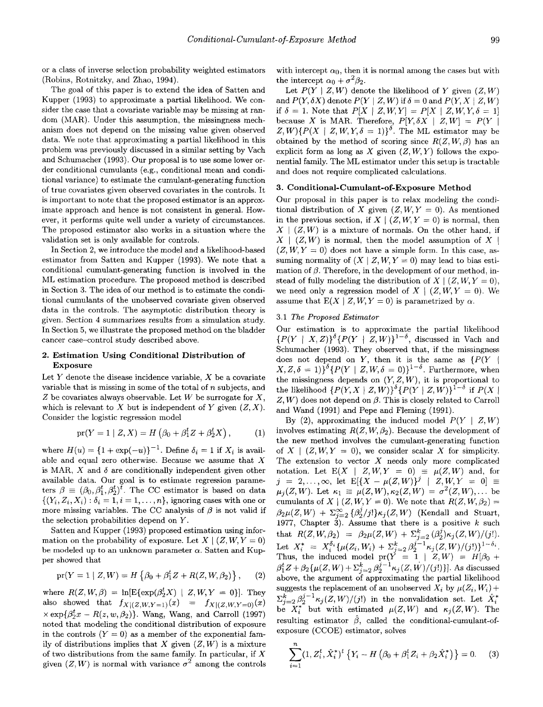or a class of inverse selection probability weighted estimators (Robins, Rotnitzky, and Zhao, 1994).

The goal of this paper is to extend the idea of Satten and Kupper (1993) to approximate a partial likelihood. We consider the case that a covariate variable may be missing at random (MAR). Under this assumption, the missingness mechanism does not depend on the missing value given observed data. We note that approximating a partial likelihood in this problem was previously discussed in a similar setting by Vach and Schumacher (1993). Our proposal is to use some lower order conditional cumulants (e.g., conditional mean and conditional variance) to estimate the cumulant-generating function of true covariates given observed covariates in the controls. It is important to note that the proposed estimator is an approximate approach and hence is not consistent in general. However, it performs quite well under a variety of circumstances. The proposed estimator also works in a situation where the validation set is only available for controls.

In Section **2,** we introduce the model and a likelihood-based estimator from Satten and Kupper (1993). We note that a conditional cumulant-generating function is involved in the ML estimation procedure. The proposed method is described in Section 3. The idea of our method is to estimate the conditional cumulants of the unobserved covariate given observed data in the controls. The asymptotic distribution theory is given. Section 4 summarizes results from a simulation study. In Section *5,* we illustrate the proposed method on the bladder cancer case-control study described above.

#### **2. Estimation Using Conditional Distribution of Exposure**

Let Y denote the disease incidence variable, *X* be a covariate variable that is missing in some of the total of *n* subjects, and *Z* be covariates always observable. Let *W* be surrogate for *X,*  which is relevant to  $X$  but is independent of  $Y$  given  $(Z, X)$ . Consider the logistic regression model

$$
pr(Y = 1 | Z, X) = H(\beta_0 + \beta_1^t Z + \beta_2^t X), \quad (1)
$$

where  $H(u) = \{1 + \exp(-u)\}^{-1}$ . Define  $\delta_i = 1$  if  $X_i$  is available and equal zero otherwise. Because we assume that  $X$ is MAR,  $X$  and  $\delta$  are conditionally independent given other available data. Our goal is to estimate regression parameters  $\beta \equiv (\beta_0, \beta_1^t, \beta_2^t)^t$ . The CC estimator is based on data  $\{(Y_i, Z_i, X_i) : \delta_i = 1, i = 1, \ldots, n\}$ , ignoring cases with one or more missing variables. The CC analysis of  $\beta$  is not valid if the selection probabilities depend on *Y.* 

Satten and Kupper (1993) proposed estimation using information on the probability of exposure. Let  $X \mid (Z, W, Y = 0)$ be modeled up to an unknown parameter  $\alpha$ . Satten and Kupper showed that

$$
pr(Y = 1 | Z, W) = H \{ \beta_0 + \beta_1^t Z + R(Z, W, \beta_2) \}, \quad (2)
$$

also showed that  $f_{X|(Z,W,Y=1)}(x) = f_{X|(Z,W,Y=0)}(x)$ where  $R(Z, W, \beta) = \ln [E\{ \exp(\beta_2^t X) | Z, W, Y = 0 \}].$  They  $\times$ exp $\{\beta_2^t x - R(z, w, \beta_2)\}\$ . Wang, Wang, and Carroll (1997) noted that modeling the conditional distribution of exposure in the controls  $(Y = 0)$  as a member of the exponential family of distributions implies that *X* given  $(Z, W)$  is a mixture of two distributions from the same family. In particular, if *X*  given  $(Z, W)$  is normal with variance  $\sigma^2$  among the controls with intercept  $\alpha_0$ , then it is normal among the cases but with the intercept  $\alpha_0 + \sigma^2 \beta_2$ .

Let  $P(Y \mid Z, W)$  denote the likelihood of *Y* given  $(Z, W)$ and  $P(Y, \delta X)$  denote  $P(Y | Z, W)$  if  $\delta = 0$  and  $P(Y, X | Z, W)$ if  $\delta = 1$ . Note that  $P[X \mid Z, W, Y] = P[X \mid Z, W, Y, \delta = 1]$ because *X* is MAR. Therefore,  $P[Y, \delta X | Z, W] = P(Y |$  $Z, W$ } $\{P(X \mid Z, W, Y, \delta = 1)\}^{\delta}$ . The ML estimator may be obtained by the method of scoring since  $R(Z, W, \beta)$  has an explicit form as long as  $X$  given  $(Z, W, Y)$  follows the exponential family. The ML estimator under this setup is tractable and does not require complicated calculations.

### **3. Conditional-Cumulant-of-Exposure Method**

Our proposal in this paper is to relax modeling the conditional distribution of *X* given  $(Z, W, Y = 0)$ . As mentioned in the previous section, if  $X \mid (Z, W, Y = 0)$  is normal, then  $X \mid (Z, W)$  is a mixture of normals. On the other hand, if  $X \mid (Z, W)$  is normal, then the model assumption of X |  $(Z, W, Y = 0)$  does not have a simple form. In this case, assuming normality of  $(X | Z, W, Y = 0)$  may lead to bias estimation of  $\beta$ . Therefore, in the development of our method, instead of fully modeling the distribution of  $X \mid (Z, W, Y = 0)$ , we need only a regression model of  $X \mid (Z, W, Y = 0)$ . We assume that  $E(X \mid Z, W, Y = 0)$  is parametrized by  $\alpha$ .

## **3.1** *The Proposed Estimator*

Our estimation is to approximate the partial likelihood  ${P(Y \mid X, Z)}^{\delta} {P(Y \mid Z, W)}^{1-\delta}$ , discussed in Vach and Schumacher (1993). They observed that, if the missingness does not depend on  $Y$ , then it is the same as  $\{P(Y \mid$  $(X, Z, \delta = 1)$ <sup> $\delta$ </sup>{ $P(Y | Z, W, \delta = 0)$ }<sup>1- $\delta$ </sup>. Furthermore, when the missingness depends on  $(Y, Z, W)$ , it is proportional to the likelihood  $\{P(Y, X | Z, W)\}^{\delta} \{P(Y | Z, W)\}^{1-\delta}$  if  $P(X | Z, W)$  $Z, W$  does not depend on  $\beta$ . This is closely related to Carroll and Wand (1991) and Pepe and Fleming (1991).

By (2), approximating the induced model  $P(Y \mid Z, W)$ involves estimating  $R(Z, W, \beta_2)$ . Because the development of the new method involves the cumulant-generating function of  $X \mid (Z, W, Y = 0)$ , we consider scalar X for simplicity. The extension to vector *X* needs only more complicated notation. Let  $E(X | Z, W, Y = 0) \equiv \mu(Z, W)$  and, for  $\mu_j(Z, W)$ . Let  $\kappa_1 \equiv \mu(Z, W), \kappa_2(Z, W) = \sigma^2(Z, W), \ldots$  be cumulants of *X* |  $(Z, W, Y = 0)$ . We note that  $R(Z, W, \beta_2) =$  $\beta_2\mu(Z, W) + \sum_{j=2}^{\infty} {\beta_2^j / j!} \kappa_j(Z, W)$  (Kendall and Stuart, 1977, Chapter 3). Assume that there is a positive  $k$  such  $\text{Let} \ \ X_i^* \ = \ X_i^{\delta_i} \{ \mu(Z_i,W_i) \, + \, \Sigma_{j=2}^k \, \beta_2^{j-1} \kappa_j(Z,W)/(j!) \}^{1-\delta_i}$ Thus, the induced model  $pr(Y = 1 | Z, W) = H[\beta_0 +$  $\beta_1^t Z + \beta_2 \{\mu(Z, W) + \sum_{j=2}^k \beta_2^{j-1} \kappa_j(Z, W)/(j!) \}].$  As discussed above, the argument of approximating the partial likelihood suggests the replacement of an unobserved  $X_i$  by  $\mu(Z_i, W_i)$  +  $\sum_{i=2}^{k} \beta_2^{j-1} \kappa_i(Z, W)/(j!)$  in the nonvalidation set. Let  $\hat{X}_i^*$ be  $X_i^*$  but with estimated  $\mu(Z, W)$  and  $\kappa_i(Z, W)$ . The resulting estimator  $\hat{\beta}$ , called the conditional-cumulant-ofexposure (CCOE) estimator, solves  $j = 2, \ldots, \infty$ , let  $E[{X - \mu(Z,W)}^j] - Z, W, Y = 0] \equiv$ that  $R(Z, W, \beta_2) = \beta_2 \mu(Z, W) + \sum_{j=2}^k (\beta_2^j) \kappa_j(Z, W)/(j!).$ 

$$
\sum_{i=1}^{n} (1, Z_i^t, \hat{X}_i^*)^t \left\{ Y_i - H \left( \beta_0 + \beta_1^t Z_i + \beta_2 \hat{X}_i^* \right) \right\} = 0. \tag{3}
$$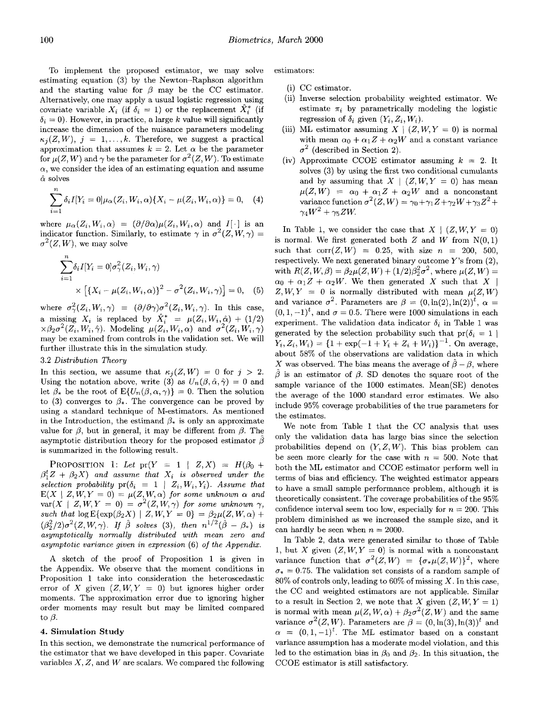To implement the proposed estimator, we may solve estimating equation (3) by the Newton-Raphson algorithm and the starting value for  $\beta$  may be the CC estimator. Alternatively, one may apply a usual logistic regression using covariate variable  $X_i$  (if  $\delta_i = 1$ ) or the replacement  $\hat{X}_i^*$  (if  $\delta_i = 0$ ). However, in practice, a large *k* value will significantly increase the dimension of the nuisance parameters modeling  $\kappa_i(Z, W)$ ,  $i = 1, \ldots, k$ . Therefore, we suggest a practical approximation that assumes  $k = 2$ . Let  $\alpha$  be the parameter for  $\mu(Z, W)$  and  $\gamma$  be the parameter for  $\sigma^2(Z, W)$ . To estimate  $\alpha$ , we consider the idea of an estimating equation and assume  $\hat{\alpha}$  solves

$$
\sum_{i=1}^{n} \delta_i I[Y_i = 0] \mu_\alpha(Z_i, W_i, \alpha) \{ X_i - \mu(Z_i, W_i, \alpha) \} = 0, \quad (4)
$$

where  $\mu_{\alpha}(Z_i, W_i, \alpha) = (\partial/\partial \alpha)\mu(Z_i, W_i, \alpha)$  and  $I[\cdot]$  is an indicator function. Similarly, to estimate  $\gamma$  in  $\sigma^2(Z, W, \gamma) =$  $\sigma^2(Z, W)$ , we may solve

$$
\sum_{i=1}^{n} \delta_i I[Y_i = 0] \sigma_\gamma^2(Z_i, W_i, \gamma)
$$
  
 
$$
\times \left[ \{ X_i - \mu(Z_i, W_i, \alpha) \}^2 - \sigma^2(Z_i, W_i, \gamma) \right] = 0, \quad (5)
$$

where  $\sigma_{\gamma}^2(Z_i, W_i, \gamma) = (\partial/\partial \gamma)\sigma^2(Z_i, W_i, \gamma)$ . In this case, a missing  $X_i$  is replaced by  $\hat{X}_i^* = \mu(Z_i, W_i, \hat{\alpha}) + (1/2)$  $x\beta_2\sigma^2(Z_i, W_i, \hat{\gamma})$ . Modeling  $\mu(Z_i, W_i, \alpha)$  and  $\sigma^2(Z_i, W_i, \gamma)$ may be examined from controls in the validation set. We will further illustrate this in the simulation study.

## 3.2 *Distribution Theory*

In this section, we assume that  $\kappa_i(Z,W) = 0$  for  $j > 2$ . Using the notation above, write (3) as  $U_n(\beta, \hat{\alpha}, \hat{\gamma}) = 0$  and let  $\beta_*$  be the root of  $E\{U_n(\beta,\alpha,\gamma)\}=0$ . Then the solution to (3) converges to  $\beta_*$ . The convergence can be proved by using a standard technique of M-estimators. As mentioned in the Introduction, the estimand  $\beta_*$  is only an approximate value for  $\beta$ , but in general, it may be different from  $\beta$ . The asymptotic distribution theory for the proposed estimator  $\hat{\beta}$ is summarized in the following result.

PROPOSITION 1: Let  $pr(Y = 1 | Z, X) = H(\beta_0 +$  $\beta_1^t Z + \beta_2 X$  and assume that  $X_i$  is observed under the selection probability  $pr(\delta_i = 1 \mid Z_i, W_i, Y_i)$ . Assume that  $E(X \mid Z, W, Y = 0) = \mu(Z, W, \alpha)$  for some unknown  $\alpha$  and  $var(X \mid Z, W, Y = 0) = \sigma^2(Z, W, \gamma)$  for some unknown  $\gamma$ ,  $such \; that \; log \; E\{exp(\beta_2 X) \mid Z, W, Y = 0\} = \beta_2 \mu(Z, W, \alpha) + \frac{1}{2}$  $(\beta_2^2/2)\sigma^2(Z,W,\gamma)$ . *If*  $\hat{\beta}$  solves (3), then  $n^{1/2}(\hat{\beta} - \beta_*)$  is *asymptotically normally distributed with mean zero and*  asymptotic variance qiven in expression (6) of the Appendix.

A sketch of the proof of Proposition 1 is given in the Appendix. We observe that the moment conditions in Proposition 1 take into consideration the heteroscedastic error of *X* given  $(Z, W, Y = 0)$  but ignores higher order moments. The approximation error due to ignoring higher order moments may result but may be limited compared to  $\beta$ .

### **4. Simulation** Study

In this section, we demonstrate the numerical performance of the estimator that we have developed in this paper. Covariate variables *X, Z,* and *W* are scalars. We compared the following

estimators:

- (i) CC estimator.
- (ii) Inverse selection probability weighted estimator. We estimate  $\pi_i$  by parametrically modeling the logistic regression of  $\delta_i$  given  $(Y_i, Z_i, W_i)$ .
- (iii) ML estimator assuming  $X | (Z, W, Y = 0)$  is normal with mean  $\alpha_0 + \alpha_1 Z + \alpha_2 W$  and a constant variance  $\sigma^2$  (described in Section 2).
- Approximate CCOE estimator assuming *k* = 2. It solves (3) by using the first two conditional cumulants and by assuming that  $X \mid (Z, W, Y = 0)$  has mean  $\mu(Z, W) = \alpha_0 + \alpha_1 Z + \alpha_2 W$  and a nonconstant variance function  $\sigma^2(Z,W) = \gamma_0 + \gamma_1 Z + \gamma_2 W + \gamma_3 Z^2 +$  $\gamma_4W^2 + \gamma_5ZW$ .

In Table 1, we consider the case that  $X \mid (Z, W, Y = 0)$ is normal. We first generated both  $Z$  and  $W$  from  $N(0,1)$ such that  $corr(Z, W) = 0.25$ , with size  $n = 200, 500$ , respectively. We next generated binary outcome *Y's* from (2), with  $R(Z, W, \beta) = \beta_2 \mu(Z, W) + (1/2)\beta_2^2 \sigma^2$ , where  $\mu(Z, W) =$  $\alpha_0 + \alpha_1 Z + \alpha_2 W$ . We then generated *X* such that *X* |  $Z, W, Y = 0$  is normally distributed with mean  $\mu(Z, W)$ and variance  $\sigma^2$ . Parameters are  $\beta = (0, \ln(2), \ln(2))^t$ ,  $\alpha =$  $(0, 1, -1)^t$ , and  $\sigma = 0.5$ . There were 1000 simulations in each experiment. The validation data indicator  $\delta_i$  in Table 1 was generated by the selection probability such that  $pr(\delta_i = 1)$  $Y_i, Z_i, W_i) = \{1 + \exp(-1 + Y_i + Z_i + W_i)\}^{-1}$ . On average, about 58% of the observations are validation data in which X was observed. The bias means the average of  $\hat{\beta} - \beta$ , where  $\beta$  is an estimator of  $\beta$ . SD denotes the square root of the sample variance of the 1000 estimates. Mean(SE) denotes the average of the 1000 standard error estimates. We also include 95% coverage probabilities of the true parameters for the estimates.

We note from Table 1 that the CC analysis that uses only the validation data has large bias since the selection probabilities depend on  $(Y, Z, W)$ . This bias problem can be seen more clearly for the case with  $n = 500$ . Note that both the ML estimator and CCOE estimator perform well in terms of bias and efficiency. The weighted estimator appears to have a small sample performance problem, although it is theoretically consistent. The coverage probabilities of the 95% confidence interval seem too low, especially for  $n = 200$ . This problem diminished **as** we increased the sample size, and it can hardly be seen when  $n = 2000$ .

In Table 2, data were generated similar to those of Table 1, but *X* given  $(Z, W, Y = 0)$  is normal with a nonconstant variance function that  $\sigma^2(Z, W) = {\sigma_*} \mu(Z, W)^2$ , where  $\sigma_* = 0.75$ . The validation set consists of a random sample of  $80\%$  of controls only, leading to  $60\%$  of missing X. In this case, the CC and weighted estimators are not applicable. Similar to a result in Section 2, we note that *X* given  $(Z, W, Y = 1)$ is normal with mean  $\mu(Z, W, \alpha) + \beta_2 \sigma^2(Z, W)$  and the same variance  $\sigma^2(Z, W)$ . Parameters are  $\beta = (0, \ln(3), \ln(3))^t$  and  $\alpha = (0, 1, -1)^t$ . The ML estimator based on a constant variance assumption has a moderate model violation, and this led to the estimation bias in  $\beta_0$  and  $\beta_2$ . In this situation, the CCOE estimator is still satisfactory.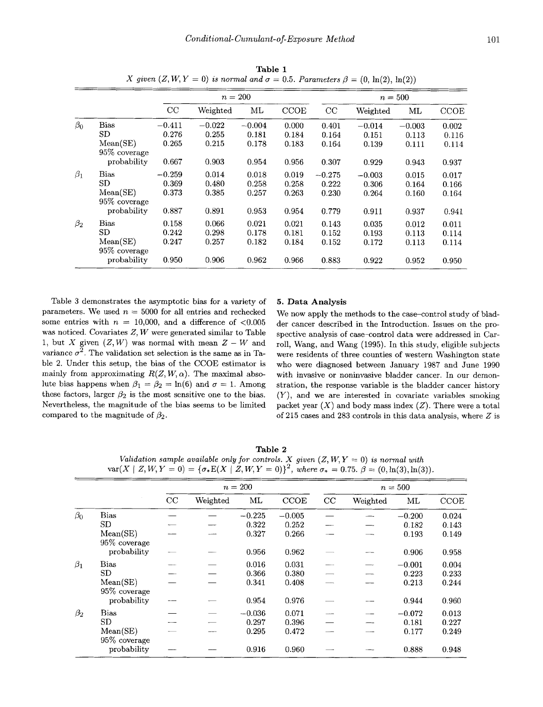|           |                          |          |          |          |             |           | $\sqrt{1}$ |          |             |
|-----------|--------------------------|----------|----------|----------|-------------|-----------|------------|----------|-------------|
|           |                          |          |          | $n=200$  |             | $n = 500$ |            |          |             |
|           |                          | CC       | Weighted | ML       | <b>CCOE</b> | CC        | Weighted   | ML       | <b>CCOE</b> |
| $\beta_0$ | <b>Bias</b>              | $-0.411$ | $-0.022$ | $-0.004$ | 0.000       | 0.401     | $-0.014$   | $-0.003$ | 0.002       |
|           | SD                       | 0.276    | 0.255    | 0.181    | 0.184       | 0.164     | 0.151      | 0.113    | 0.116       |
|           | Mean(SE)<br>95% coverage | 0.265    | 0.215    | 0.178    | 0.183       | 0.164     | 0.139      | 0.111    | 0.114       |
|           | probability              | 0.667    | 0.903    | 0.954    | 0.956       | 0.307     | 0.929      | 0.943    | 0.937       |
| $\beta_1$ | Bias                     | $-0.259$ | 0.014    | 0.018    | 0.019       | $-0.275$  | $-0.003$   | 0.015    | 0.017       |
|           | SD                       | 0.369    | 0.480    | 0.258    | 0.258       | 0.222     | 0.306      | 0.164    | 0.166       |
|           | Mean(SE)<br>95% coverage | 0.373    | 0.385    | 0.257    | 0.263       | 0.230     | 0.264      | 0.160    | 0.164       |
|           | probability              | 0.887    | 0.891    | 0.953    | 0.954       | 0.779     | 0.911      | 0.937    | 0.941       |
| $\beta_2$ | <b>Bias</b>              | 0.158    | 0.066    | 0.021    | 0.021       | 0.143     | 0.035      | 0.012    | 0.011       |
|           | SD                       | 0.242    | 0.298    | 0.178    | 0.181       | 0.152     | 0.193      | 0.113    | 0.114       |
|           | Mean(SE)<br>95% coverage | 0.247    | 0.257    | 0.182    | 0.184       | 0.152     | 0.172      | 0.113    | 0.114       |
|           | probability              | 0.950    | 0.906    | 0.962    | 0.966       | 0.883     | 0.922      | 0.952    | 0.950       |

**Table** 1 *X* given  $(Z, W, Y = 0)$  is normal and  $\sigma = 0.5$ . *Parameters*  $\beta = (0, \ln(2), \ln(2))$ 

Table 3 demonstrates the asymptotic bias for a variety of parameters. We used  $n = 5000$  for all entries and rechecked some entries with  $n = 10,000$ , and a difference of  $\leq 0.005$ was noticed. Covariates *Z, W* were generated similar to Table 1, but X given  $(Z, W)$  was normal with mean  $Z - W$  and variance  $\sigma^2$ . The validation set selection is the same as in Table 2. Under this setup, the bias of the CCOE estimator is mainly from approximating  $R(Z, W, \alpha)$ . The maximal absolute bias happens when  $\beta_1 = \beta_2 = \ln(6)$  and  $\sigma = 1$ . Among these factors, larger  $\beta_2$  is the most sensitive one to the bias. Nevertheless, the magnitude of the bias seems to be limited compared to the magnitude of  $\beta_2$ .

#### *5.* **Data Analysis**

We now apply the methods to the case-control study of bladder cancer described in the Introduction. Issues on the prospective analysis of case-control data were addressed in Carroll, Wang, and Wang (1995). In this study, eligible subjects were residents of three counties of western Washington state who were diagnosed between January 1987 and June 1990 with invasive or noninvasive bladder cancer. In our demonstration, the response variable is the bladder cancer history *(Y),* and we are interested in covariate variables smoking packet year  $(X)$  and body mass index  $(Z)$ . There were a total of 215 cases and 283 controls in this data analysis, where *2* is

**Table** *2 Validation sample available only for controls. X given*  $(Z, W, Y = 0)$  *is normal with* var(X | Z, W, Y = 0) = { $\sigma_* E(X \mid Z, W, Y = 0)$ }<sup>2</sup>, where  $\sigma_* = 0.75$ .  $\beta = (0, \ln(3), \ln(3))$ .

|           |                          | $n=200$ |          |          |          | $n=500$ |          |          |             |
|-----------|--------------------------|---------|----------|----------|----------|---------|----------|----------|-------------|
|           |                          | CC      | Weighted | ML       | CCOE     | CC      | Weighted | $\rm ML$ | <b>CCOE</b> |
| $\beta_0$ | <b>Bias</b>              |         |          | $-0.225$ | $-0.005$ |         |          | $-0.200$ | 0.024       |
|           | <b>SD</b>                |         |          | 0.322    | 0.252    |         |          | 0.182    | 0.143       |
|           | Mean(SE)<br>95% coverage |         |          | 0.327    | 0.266    |         |          | 0.193    | 0.149       |
|           | probability              |         |          | 0.956    | 0.962    |         |          | 0.906    | 0.958       |
| $\beta_1$ | <b>Bias</b>              |         |          | 0.016    | 0.031    |         |          | $-0.001$ | 0.004       |
|           | <b>SD</b>                |         |          | 0.366    | 0.380    |         |          | 0.223    | 0.233       |
|           | Mean(SE)<br>95% coverage |         |          | 0.341    | 0.408    |         |          | 0.213    | 0.244       |
|           | probability              |         |          | 0.954    | 0.976    |         |          | 0.944    | 0.960       |
| $\beta_2$ | <b>Bias</b>              |         |          | $-0.036$ | 0.071    |         |          | $-0.072$ | 0.013       |
|           | <b>SD</b>                |         |          | 0.297    | 0.396    |         |          | 0.181    | 0.227       |
|           | Mean(SE)<br>95% coverage |         |          | 0.295    | 0.472    |         |          | 0.177    | 0.249       |
|           | probability              |         |          | 0.916    | 0.960    |         |          | 0.888    | 0.948       |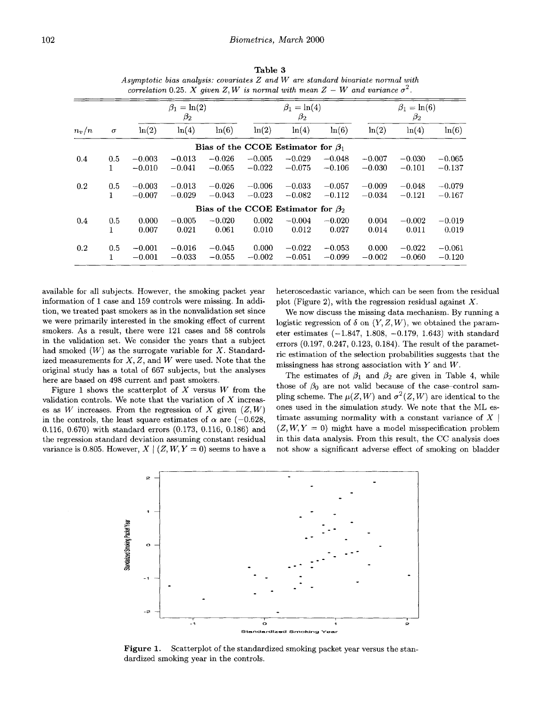| Table 3                                                                              |
|--------------------------------------------------------------------------------------|
| Asymptotic bias analysis: covariates $Z$ and $W$ are standard bivariate normal with  |
| correlation 0.25. X given Z, W is normal with mean $Z - W$ and variance $\sigma^2$ . |

|         |          | $\beta_1 = \ln(2)$<br>$\beta_2$ |          |                                          | $\beta_1 = \ln(4)$<br>$\beta_2$ |          |          | $\beta_1 = \ln(6)$<br>$\beta_2$ |          |          |
|---------|----------|---------------------------------|----------|------------------------------------------|---------------------------------|----------|----------|---------------------------------|----------|----------|
| $n_v/n$ | $\sigma$ | ln(2)                           | ln(4)    | ln(6)                                    | ln(2)                           | ln(4)    | ln(6)    | ln(2)                           | ln(4)    | ln(6)    |
|         |          |                                 |          | Bias of the CCOE Estimator for $\beta_1$ |                                 |          |          |                                 |          |          |
| 0.4     | 0.5      | $-0.003$                        | $-0.013$ | $-0.026$                                 | $-0.005$                        | $-0.029$ | $-0.048$ | $-0.007$                        | $-0.030$ | $-0.065$ |
|         | 1        | $-0.010$                        | $-0.041$ | $-0.065$                                 | $-0.022$                        | $-0.075$ | $-0.106$ | $-0.030$                        | $-0.101$ | $-0.137$ |
| 0.2     | 0.5      | $-0.003$                        | $-0.013$ | $-0.026$                                 | $-0.006$                        | $-0.033$ | $-0.057$ | $-0.009$                        | $-0.048$ | $-0.079$ |
|         | 1.       | $-0.007$                        | $-0.029$ | $-0.043$                                 | $-0.023$                        | $-0.082$ | $-0.112$ | $-0.034$                        | $-0.121$ | $-0.167$ |
|         |          |                                 |          | Bias of the CCOE Estimator for $\beta_2$ |                                 |          |          |                                 |          |          |
| 0.4     | 0.5      | 0.000                           | $-0.005$ | $-0.020$                                 | 0.002                           | $-0.004$ | $-0.020$ | 0.004                           | $-0.002$ | $-0.019$ |
|         | 1        | 0.007                           | 0.021    | 0.061                                    | 0.010                           | 0.012    | 0.027    | 0.014                           | 0.011    | 0.019    |
| 0.2     | 0.5      | $-0.001$                        | $-0.016$ | $-0.045$                                 | 0.000                           | $-0.022$ | $-0.053$ | 0.000                           | $-0.022$ | $-0.061$ |
|         | 1.       | $-0.001$                        | $-0.033$ | $-0.055$                                 | $-0.002$                        | $-0.051$ | $-0.099$ | $-0.002$                        | $-0.060$ | $-0.120$ |

available for all subjects. However, the smoking packet year information of 1 case and 159 controls were missing. In addition, we treated past smokers as in the nonvalidation set since we were primarily interested in the smoking effect of current smokers. **As** a result, there were 121 cases and 58 controls in the validation set. We consider the years that a subject had smoked *(W)* **as** the surrogate variable for *X.* Standardized measurements for *X, 2,* and *W* were used. Note that the original study has a total of 667 subjects, but the analyses here are based on 498 current and past smokers.

Figure 1 shows the scatterplot of *X* versus *W* from the validation controls. We note that the variation of *X* increases as *W* increases. From the regression of *X* given  $(Z, W)$ in the controls, the least square estimates of  $\alpha$  are (-0.628, 0.116, 0.670) with standard errors (0.173, 0.116, 0.186) and the regression standard deviation assuming constant residual variance is 0.805. However,  $X | (Z, W, Y = 0)$  seems to have a heteroscedastic variance, which can be seen from the residual plot (Figure 2), with the regression residual against *X.* 

We now discuss the missing data mechanism. By running a logistic regression of  $\delta$  on  $(Y, Z, W)$ , we obtained the parameter estimates  $(-1.847, 1.808, -0.179, 1.643)$  with standard errors (0.197, 0.247, 0.123, 0.184). The result of the parametric estimation of the selection probabilities suggests that the missingness has strong association with *Y* and *W.* 

The estimates of  $\beta_1$  and  $\beta_2$  are given in Table 4, while those of  $\beta_0$  are not valid because of the case-control sampling scheme. The  $\mu(Z, W)$  and  $\sigma^2(Z, W)$  are identical to the ones used in the simulation study. We note that the ML estimate assuming normality with a constant variance of  $X$  $(Z, W, Y = 0)$  might have a model misspecification problem in this data analysis. From this result, the CC analysis does not show a significant adverse effect of smoking on bladder



Figure 1. Scatterplot of the standardized smoking packet year versus the standardized smoking year in the controls.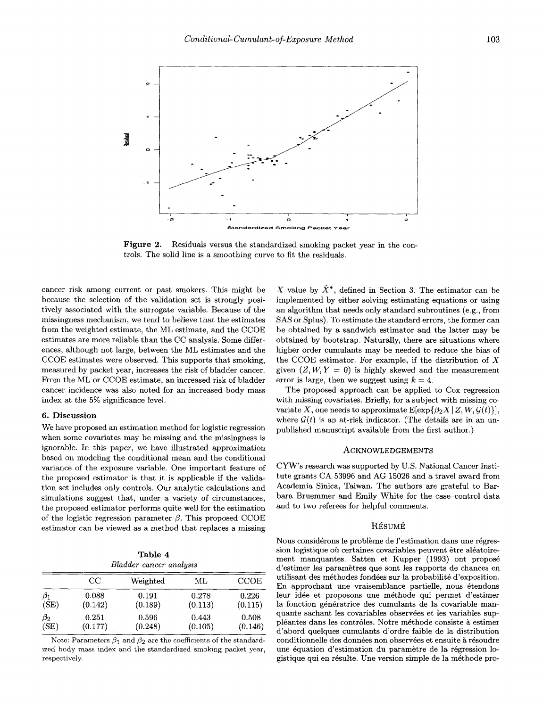

**Figure 2.**  Residuals versus the standardized smoking packet year in the controls. The solid line is a smoothing curve to fit the residuals.

cancer risk among current or past smokers. This might be because the selection of the validation set is strongly positively associated with the surrogate variable. Because of the missingness mechanism, we tend to believe that the estimates from the weighted estimate, the ML estimate, and the CCOE estimates are more reliable than the CC analysis. Some differences, although not large, between the ML estimates and the CCOE estimates were observed. This supports that smoking, measured by packet year, increases the risk of bladder cancer. From the ML or CCOE estimate, an increased risk of bladder cancer incidence was also noted for an increased body mass index at the 5% significance level.

#### **6. Discussion**

We have proposed an estimation method for logistic regression when some covariates may be missing and the missingness is ignorable. In this paper, we have illustrated approximation based on modeling the conditional mean and the conditional variance of the exposure variable. One important feature of the proposed estimator is that it is applicable if the validation set includes only controls. Our analytic calculations and simulations suggest that, under a variety of circumstances, the proposed estimator performs quite well for the estimation of the logistic regression parameter  $\beta$ . This proposed CCOE estimator can be viewed as a method that replaces a missing

**Table 4**  *Bladder cancer analysis* 

|           | $_{\rm CC}$ | Weighted | ML      | <b>CCOE</b> |
|-----------|-------------|----------|---------|-------------|
| $\beta_1$ | 0.088       | 0.191    | 0.278   | 0.226       |
| (SE)      | (0.142)     | (0.189)  | (0.113) | (0.115)     |
| $\beta_2$ | 0.251       | 0.596    | 0.443   | 0.508       |
| (SE)      | (0.177)     | (0.248)  | (0.105) | (0.146)     |

Note: Parameters  $\beta_1$  and  $\beta_2$  are the coefficients of the standardized body mass index and the standardized smoking packet year, respectively.

X value by  $\hat{X}^*$ , defined in Section 3. The estimator can be implemented by either solving estimating equations or using an algorithm that needs only standard subroutines (e.g., from SAS or Splus). To estimate the standard errors, the former can be obtained by a sandwich estimator and the latter may be obtained by bootstrap. Naturally, there are situations where higher order cumulants may be needed to reduce the bias of the CCOE estimator. For example, if the distribution of *X*  given  $(Z, W, Y = 0)$  is highly skewed and the measurement error is large, then we suggest using  $k = 4$ .

The proposed approach can be applied to Cox regression with missing covariates. Briefly, for a subject with missing covariate X, one needs to approximate  $E[\exp{\{\beta_2 X | Z, W, \mathcal{G}(t)\}}],$ where  $\mathcal{G}(t)$  is an at-risk indicator. (The details are in an unpublished manuscript available from the first author.)

#### ACKNOWLEDGEMENTS

CYW's research was supported by U.S. National Cancer Institute grants CA 53996 and AG 15026 and a travel award from Academia Sinica, Taiwan. The authors are grateful to Barbara Bruemmer and Emily White for the case-control data and to two referees for helpful comments.

#### RESUME

Nous considérons le problème de l'estimation dans une régression logistique où certaines covariables peuvent être aléatoirement manquantes. Satten et Kupper (1993) ont proposé d'estimer les paramètres que sont les rapports de chances en utilisant des méthodes fondées sur la probabilité d'exposition. En approchant une vraisemblance partielle, nous étendons leur idée et proposons une méthode qui permet d'estimer la fonction génératrice des cumulants de la covariable manquante sachant les covariables observées et les variables suppléantes dans les contrôles. Notre méthode consiste à estimer d'abord quelques cumulants d'ordre faible de la distribution conditionnelle des données non observées et ensuite à résoudre une équation d'estimation du paramètre de la régression logistique qui en résulte. Une version simple de la méthode pro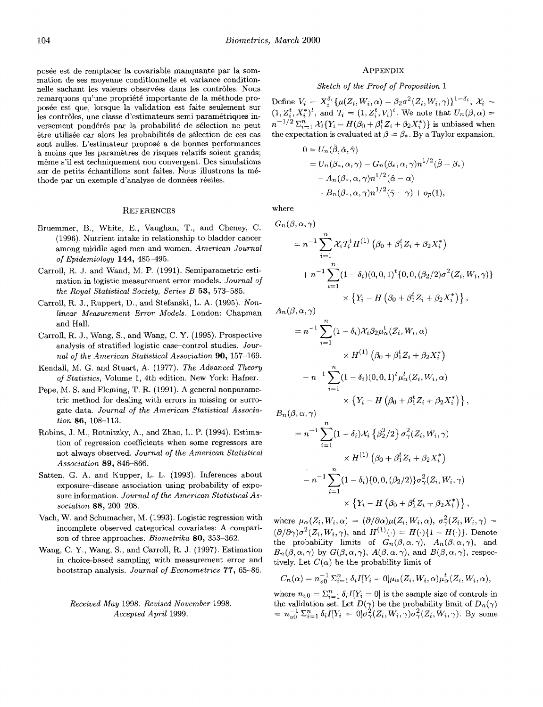posee est de remplacer la covariable manquante par la sommation de ses moyenne conditionnelle et variance conditionnelle sachant les valeurs observées dans les contrôles. Nous remarquons qu'une propriété importante de la méthode proposee est que, lorsque la validation est faite seulement sur les contrôles, une classe d'estimateurs semi paramétriques inversement pondérés par la probabilité de sélection ne peut être utilisée car alors les probabilités de sélection de ces cas sont nulles. L'estimateur propose a de bonnes performances à moins que les paramètres de risques relatifs soient grands; même s'il est techniquement non convergent. Des simulations sur de petits échantillons sont faites. Nous illustrons la méthode par un exemple d'analyse de données réelles.

#### **REFERENCES**

- Bruemmer, B., White, E., Vaughan, T., and Cheney, C. (1996). Nutrient intake in relationship to bladder cancer among middle aged men and women. *American Journal*  of *Epidemiology* **144,** 485-495.
- Carroll, R. J. and Wand, M. P. (1991). Semiparametric estimation in logistic measurement error models. *Journal* of *the Royal Statistical Society, Series B* **53,** 573-585.
- Carroll, R. J., Ruppert, D., and Stefanski, L. **A.** (1995). *Nonlinear Measurement* Error *Models.* London: Chapman and Hall.
- Carroll, R. J., Wang, S., and Wang, C. Y. (1995). Prospective analysis of stratified logistic case-control studies. *Journal of the American Statistical Association* **90,** 157-169.
- Kendall, M. G. and Stuart, **A.** (1977). *The Advanced Theory*  of *Statistics,* Volume 1, 4th edition. New York: Hafner.
- Pepe, M. S. and Fleming, T. R. (1991). **A** general nonparametric method for dealing with errors in missing or surrogate data. *Journal of the American Statistical Association* **86,** 108-113.
- Robins, J. M., Rotnitzky, **A,,** and Zhao, L. P. (1994). Estimation of regression coefficients when some regressors are not always observed. *Journal* of *the American Statistical Association* **89,** 846-866.
- Satten, G. **A.** and Kupper, L. L. (1993). Inferences about exposure-disease association using probability of exposure information. *Journal of the American Statistical Association* **88,** 200-208.
- Vach, W. and Schumacher, M. (1993). Logistic regression with incomplete observed categorical covariates: **A** comparison of three approaches. *Biometrika* **80,** 353-362.
- Wang, C. Y., Wang, S., and Carroll, R. J. (1997). Estimation in choice-based sampling with measurement error and bootstrap analysis. *Journal* of *Econometrics 77,* 65-86.

*Received May* 1998. *Revised November* 1998. *Accepted April* 1999.

#### **APPENDIX**

## Sketch of the Proof of Proposition 1

Define  $V_i = X_i^{\delta_i} {\mu(Z_i, W_i, \alpha) + \beta_2 \sigma^2(Z_i, W_i, \gamma)}^{1-\delta_i}, X_i =$  $(1, Z_i^t, X_i^*)^t$ , and  $T_i = (1, Z_i^t, V_i)^t$ . We note that  $U_n(\beta, \alpha)$  =  $n^{-1/2} \sum_{i=1}^n \mathcal{X}_i \{ Y_i - H(\beta_0 + \beta_1^t Z_i + \beta_2 X_i^*) \}$  is unbiased when the expectation is evaluated at  $\beta = \beta_*$ . By a Taylor expansion,

$$
0 = U_n(\beta, \hat{\alpha}, \hat{\gamma})
$$
  
=  $U_n(\beta_*, \alpha, \gamma) - G_n(\beta_*, \alpha, \gamma)n^{1/2}(\hat{\beta} - \beta_*)$   
 $- A_n(\beta_*, \alpha, \gamma)n^{1/2}(\hat{\alpha} - \alpha)$   
 $- B_n(\beta_*, \alpha, \gamma)n^{1/2}(\hat{\gamma} - \gamma) + o_p(1),$ 

where

$$
G_n(\beta, \alpha, \gamma)
$$
  
=  $n^{-1} \sum_{i=1}^n \mathcal{X}_i T_i^t H^{(1)} (\beta_0 + \beta_1^t Z_i + \beta_2 X_i^*)$   
+  $n^{-1} \sum_{i=1}^n (1 - \delta_i)(0, 0, 1)^t \{0, 0, (\beta_2/2) \sigma^2 (Z_i, W_i, \gamma)\}$   
 $\times \{Y_i - H (\beta_0 + \beta_1^t Z_i + \beta_2 X_i^*)\},$ 

 $A_n(\beta,\alpha,\gamma)$ 

$$
= n^{-1} \sum_{i=1}^{n} (1 - \delta_i) \mathcal{X}_i \beta_2 \mu_\alpha^t(Z_i, W_i, \alpha)
$$
  
 
$$
\times H^{(1)} (\beta_0 + \beta_1^t Z_i + \beta_2 X_i^*)
$$
  
- 
$$
n^{-1} \sum_{i=1}^{n} (1 - \delta_i)(0, 0, 1)^t \mu_\alpha^t(Z_i, W_i, \alpha)
$$
  
 
$$
\times \{Y_i - H (\beta_0 + \beta_1^t Z_i + \beta_2 X_i^*)\}
$$

 $B_n(\beta,\alpha,\gamma)$ 

$$
= n^{-1} \sum_{i=1}^{n} (1 - \delta_i) \mathcal{X}_i \left\{ \beta_2^2 / 2 \right\} \sigma_\gamma^2(Z_i, W_i, \gamma)
$$

$$
\times H^{(1)} \left( \beta_0 + \beta_1^{\dagger} Z_i + \beta_2 X_i^{\ast} \right)
$$

$$
- n^{-1} \sum_{i=1}^{n} (1 - \delta_i) \{ 0, 0, (\beta_2 / 2) \} \sigma_\gamma^2(Z_i, W_i, \gamma)
$$

$$
\times \left\{ Y_i - H \left( \beta_0 + \beta_1^{\dagger} Z_i + \beta_2 X_i^{\ast} \right) \right\}
$$

where  $\mu_{\alpha}(Z_i, W_i, \alpha) = (\partial/\partial \alpha)\mu(Z_i, W_i, \alpha), \sigma_{\gamma}^2(Z_i, W_i, \gamma) =$  $(\partial/\partial \gamma)\sigma^2(Z_i, W_i, \gamma)$ , and  $H^{(1)}(\cdot) = H(\cdot)\{1 - H(\cdot)\}\$ . Denote the probability limits of  $G_n(\beta,\alpha,\gamma)$ ,  $A_n(\beta,\alpha,\gamma)$ , and  $B_n(\beta,\alpha,\gamma)$  by  $G(\beta,\alpha,\gamma)$ ,  $A(\beta,\alpha,\gamma)$ , and  $B(\beta,\alpha,\gamma)$ , respectively. Let  $C(\alpha)$  be the probability limit of

$$
C_n(\alpha) = n_{\nu 0}^{-1} \Sigma_{i=1}^n \delta_i I[Y_i = 0] \mu_\alpha(Z_i, W_i, \alpha) \mu_\alpha^t(Z_i, W_i, \alpha),
$$

where  $n_{v0} = \sum_{i=1}^{n} \delta_i I[Y_i = 0]$  is the sample size of controls in the validation set. Let  $D(\gamma)$  be the probability limit of  $D_n(\gamma)$ <br>=  $n_{v0}^{-1} \Sigma_{i=1}^n \delta_i I[Y_i = 0] \sigma_\gamma^2(Z_i, W_i, \gamma) \sigma_\gamma^2(Z_i, W_i, \gamma)$ . By some